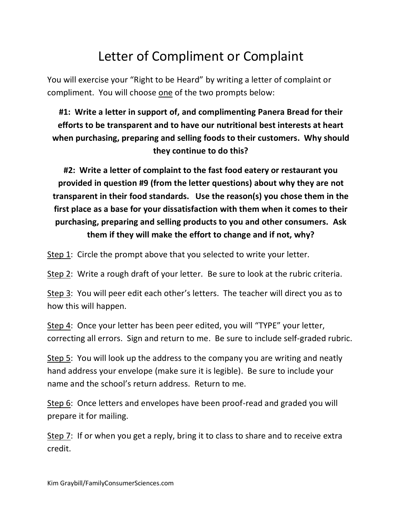## Letter of Compliment or Complaint

You will exercise your "Right to be Heard" by writing a letter of complaint or compliment. You will choose one of the two prompts below:

**#1: Write a letter in support of, and complimenting Panera Bread for their efforts to be transparent and to have our nutritional best interests at heart when purchasing, preparing and selling foods to their customers. Why should they continue to do this?**

**#2: Write a letter of complaint to the fast food eatery or restaurant you provided in question #9 (from the letter questions) about why they are not transparent in their food standards. Use the reason(s) you chose them in the first place as a base for your dissatisfaction with them when it comes to their purchasing, preparing and selling products to you and other consumers. Ask them if they will make the effort to change and if not, why?**

Step 1: Circle the prompt above that you selected to write your letter.

Step 2: Write a rough draft of your letter. Be sure to look at the rubric criteria.

Step 3: You will peer edit each other's letters. The teacher will direct you as to how this will happen.

Step 4: Once your letter has been peer edited, you will "TYPE" your letter, correcting all errors. Sign and return to me. Be sure to include self-graded rubric.

Step 5: You will look up the address to the company you are writing and neatly hand address your envelope (make sure it is legible). Be sure to include your name and the school's return address. Return to me.

Step 6: Once letters and envelopes have been proof-read and graded you will prepare it for mailing.

Step 7: If or when you get a reply, bring it to class to share and to receive extra credit.